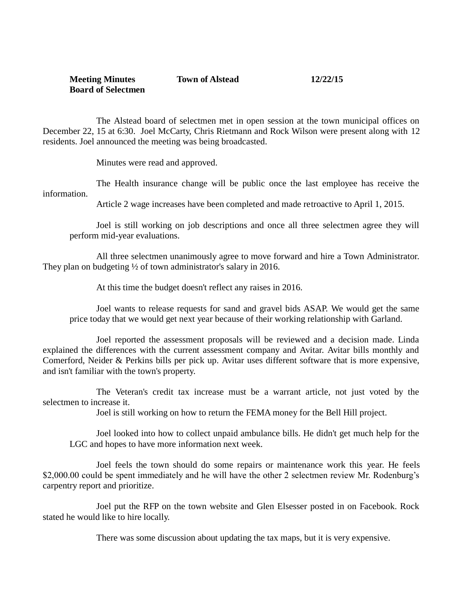## **Meeting Minutes Town of Alstead 12/22/15 Board of Selectmen**

The Alstead board of selectmen met in open session at the town municipal offices on December 22, 15 at 6:30. Joel McCarty, Chris Rietmann and Rock Wilson were present along with 12 residents. Joel announced the meeting was being broadcasted.

Minutes were read and approved.

The Health insurance change will be public once the last employee has receive the information.

Article 2 wage increases have been completed and made retroactive to April 1, 2015.

Joel is still working on job descriptions and once all three selectmen agree they will perform mid-year evaluations.

All three selectmen unanimously agree to move forward and hire a Town Administrator. They plan on budgeting <sup>1/2</sup> of town administrator's salary in 2016.

At this time the budget doesn't reflect any raises in 2016.

Joel wants to release requests for sand and gravel bids ASAP. We would get the same price today that we would get next year because of their working relationship with Garland.

Joel reported the assessment proposals will be reviewed and a decision made. Linda explained the differences with the current assessment company and Avitar. Avitar bills monthly and Comerford, Neider & Perkins bills per pick up. Avitar uses different software that is more expensive, and isn't familiar with the town's property.

The Veteran's credit tax increase must be a warrant article, not just voted by the selectmen to increase it.

Joel is still working on how to return the FEMA money for the Bell Hill project.

Joel looked into how to collect unpaid ambulance bills. He didn't get much help for the LGC and hopes to have more information next week.

Joel feels the town should do some repairs or maintenance work this year. He feels \$2,000.00 could be spent immediately and he will have the other 2 selectmen review Mr. Rodenburg's carpentry report and prioritize.

Joel put the RFP on the town website and Glen Elsesser posted in on Facebook. Rock stated he would like to hire locally.

There was some discussion about updating the tax maps, but it is very expensive.